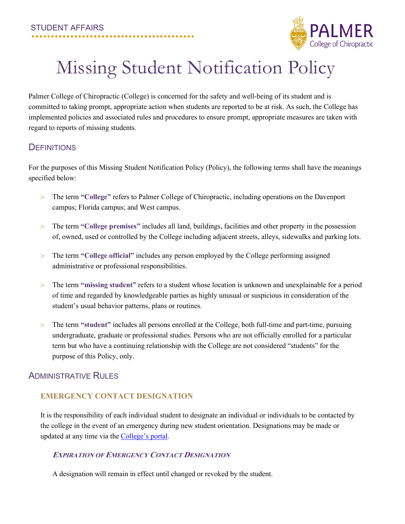

# Missing Student Notification Policy

Palmer College of Chiropractic (College) is concerned for the safety and well-being of its student and is committed to taking prompt, appropriate action when students are reported to be at risk. As such, the College has implemented policies and associated rules and procedures to ensure prompt, appropriate measures are taken with regard to reports of missing students.

# **DEFINITIONS**

For the purposes of this Missing Student Notification Policy (Policy), the following terms shall have the meanings specified below:

- > The term **"College"** refers to Palmer College of Chiropractic, including operations on the Davenport campus; Florida campus; and West campus.
- > The term **"College premises"** includes all land, buildings, facilities and other property in the possession of, owned, used or controlled by the College including adjacent streets, alleys, sidewalks and parking lots.
- > The term **"College official"** includes any person employed by the College performing assigned administrative or professional responsibilities.
- > The term **"missing student"** refers to a student whose location is unknown and unexplainable for a period of time and regarded by knowledgeable parties as highly unusual or suspicious in consideration of the student's usual behavior patterns, plans or routines.
- > The term **"student"** includes all persons enrolled at the College, both full-time and part-time, pursuing undergraduate, graduate or professional studies. Persons who are not officially enrolled for a particular term but who have a continuing relationship with the College are not considered "students" for the purpose of this Policy, only.

# ADMINISTRATIVE RULES

# **EMERGENCY CONTACT DESIGNATION**

It is the responsibility of each individual student to designate an individual or individuals to be contacted by the college in the event of an emergency during new student orientation. Designations may be made or updated at any time via the [College's](https://livepalmer.sharepoint.com/sites/SafetyandSecurity) portal.

# **EXPIRATION OF EMERGENCY CONTACT DESIGNATION**

A designation will remain in effect until changed or revoked by the student.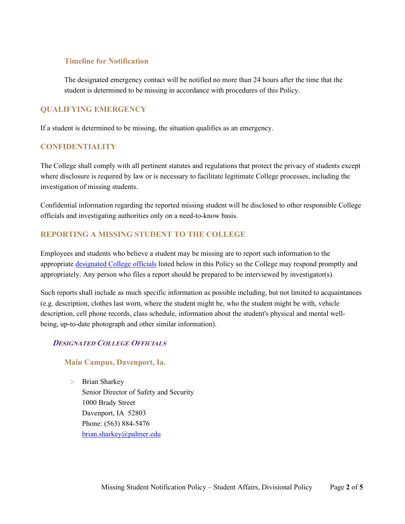## **Timeline for Notification**

The designated emergency contact will be notified no more than 24 hours after the time that the student is determined to be missing in accordance with procedures of this Policy.

# **QUALIFYING EMERGENCY**

If a student is determined to be missing, the situation qualifies as an emergency.

## **CONFIDENTIALITY**

The College shall comply with all pertinent statutes and regulations that protect the privacy of students except where disclosure is required by law or is necessary to facilitate legitimate College processes, including the investigation of missing students.

Confidential information regarding the reported missing student will be disclosed to other responsible College officials and investigating authorities only on a need-to-know basis.

# **REPORTING A MISSING STUDENT TO THE COLLEGE**

Employees and students who believe a student may be missing are to report such information to the appropriate [designated College officials](#page-1-0) listed below in this Policy so the College may respond promptly and appropriately. Any person who files a report should be prepared to be interviewed by investigator(s).

Such reports shall include as much specific information as possible including, but not limited to acquaintances (e.g. description, clothes last worn, where the student might be, who the student might be with, vehicle description, cell phone records, class schedule, information about the student's physical and mental wellbeing, up-to-date photograph and other similar information).

# <span id="page-1-0"></span>**DESIGNATED COLLEGE OFFICIALS**

# **Main Campus, Davenport, Ia.**

> Brian Sharkey Senior Director of Safety and Security 1000 Brady Street Davenport, IA 52803 Phone: (563) 884-5476 [brian.sharkey@palmer.edu](mailto:brian.sharkey@palmer.edu)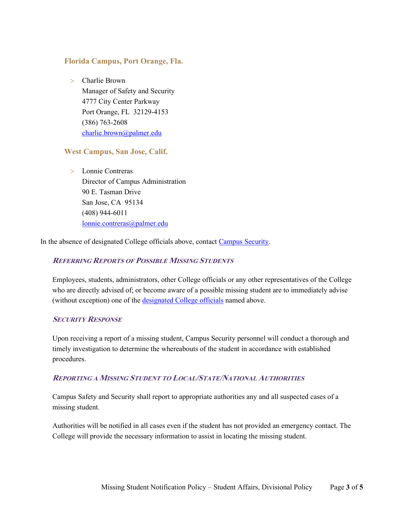#### **Florida Campus, Port Orange, Fla.**

> Charlie Brown Manager of Safety and Security 4777 City Center Parkway Port Orange, FL 32129-4153 (386) 763-2608 [charlie.brown@palmer.edu](mailto:charlie.brown@palmer.edu)

#### **West Campus, San Jose, Calif.**

> Lonnie Contreras Director of Campus Administration 90 E. Tasman Drive San Jose, CA 95134 (408) 944-6011 [lonnie.contreras@palmer.edu](mailto:lonnie.contreras@palmer.edu)

In the absence of designated College officials above, contac[t Campus Security.](http://www.palmer.edu/Security/)

#### **REFERRING REPORTS OF POSSIBLE MISSING STUDENTS**

Employees, students, administrators, other College officials or any other representatives of the College who are directly advised of; or become aware of a possible missing student are to immediately advise (without exception) one of the [designated College officials](#page-1-0) named above.

#### **SECURITY RESPONSE**

Upon receiving a report of a missing student, Campus Security personnel will conduct a thorough and timely investigation to determine the whereabouts of the student in accordance with established procedures.

#### **REPORTING A MISSING STUDENT TO LOCAL/STATE/NATIONAL AUTHORITIES**

Campus Safety and Security shall report to appropriate authorities any and all suspected cases of a missing student.

Authorities will be notified in all cases even if the student has not provided an emergency contact. The College will provide the necessary information to assist in locating the missing student.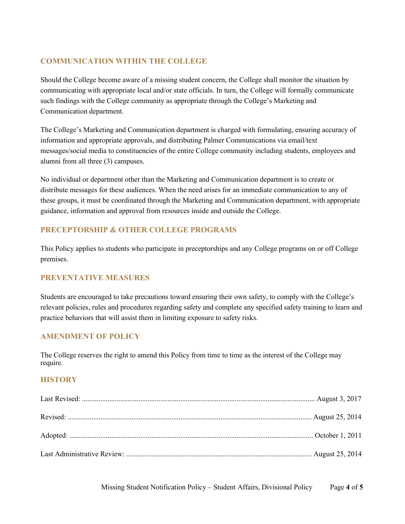# **COMMUNICATION WITHIN THE COLLEGE**

Should the College become aware of a missing student concern, the College shall monitor the situation by communicating with appropriate local and/or state officials. In turn, the College will formally communicate such findings with the College community as appropriate through the College's Marketing and Communication department.

The College's Marketing and Communication department is charged with formulating, ensuring accuracy of information and appropriate approvals, and distributing Palmer Communications via email/text messages/social media to constituencies of the entire College community including students, employees and alumni from all three (3) campuses.

No individual or department other than the Marketing and Communication department is to create or distribute messages for these audiences. When the need arises for an immediate communication to any of these groups, it must be coordinated through the Marketing and Communication department, with appropriate guidance, information and approval from resources inside and outside the College.

# **PRECEPTORSHIP & OTHER COLLEGE PROGRAMS**

This Policy applies to students who participate in preceptorships and any College programs on or off College premises.

# **PREVENTATIVE MEASURES**

Students are encouraged to take precautions toward ensuring their own safety, to comply with the College's relevant policies, rules and procedures regarding safety and complete any specified safety training to learn and practice behaviors that will assist them in limiting exposure to safety risks.

# **AMENDMENT OF POLICY**

The College reserves the right to amend this Policy from time to time as the interest of the College may require.

#### **HISTORY**